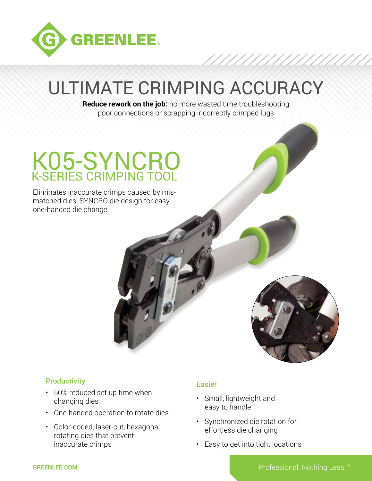

# ULTIMATE CRIMPING ACCURACY

**Reduce rework on the job:** no more wasted time troubleshooting poor connections or scrapping incorrectly crimped lugs

## K05-SYNCRO K-SERIES CRIMPING TOOL

Eliminates inaccurate crimps caused by mismatched dies; SYNCRO die design for easy one-handed die change



### **Productivity**

- 50% reduced set up time when changing dies
- One-handed operation to rotate dies
- Color-coded, laser-cut, hexagonal rotating dies that prevent inaccurate crimps

### Easier

- Small, lightweight and easy to handle
- Synchronized die rotation for effortless die changing
- Easy to get into tight locations